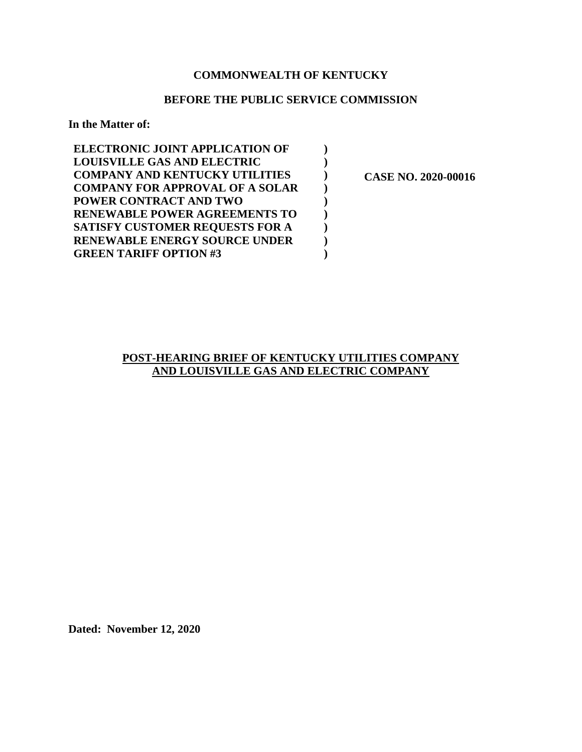## **COMMONWEALTH OF KENTUCKY**

### **BEFORE THE PUBLIC SERVICE COMMISSION**

**) ) ) ) ) ) ) ) )** 

**In the Matter of:** 

| <b>ELECTRONIC JOINT APPLICATION OF</b> |
|----------------------------------------|
| <b>LOUISVILLE GAS AND ELECTRIC</b>     |
| <b>COMPANY AND KENTUCKY UTILITIES</b>  |
| <b>COMPANY FOR APPROVAL OF A SOLAR</b> |
| <b>POWER CONTRACT AND TWO</b>          |
| <b>RENEWABLE POWER AGREEMENTS TO</b>   |
| SATISFY CUSTOMER REQUESTS FOR A        |
| <b>RENEWABLE ENERGY SOURCE UNDER</b>   |
| <b>GREEN TARIFF OPTION #3</b>          |

 **CASE NO. 2020-00016** 

## **POST-HEARING BRIEF OF KENTUCKY UTILITIES COMPANY AND LOUISVILLE GAS AND ELECTRIC COMPANY**

**Dated: November 12, 2020**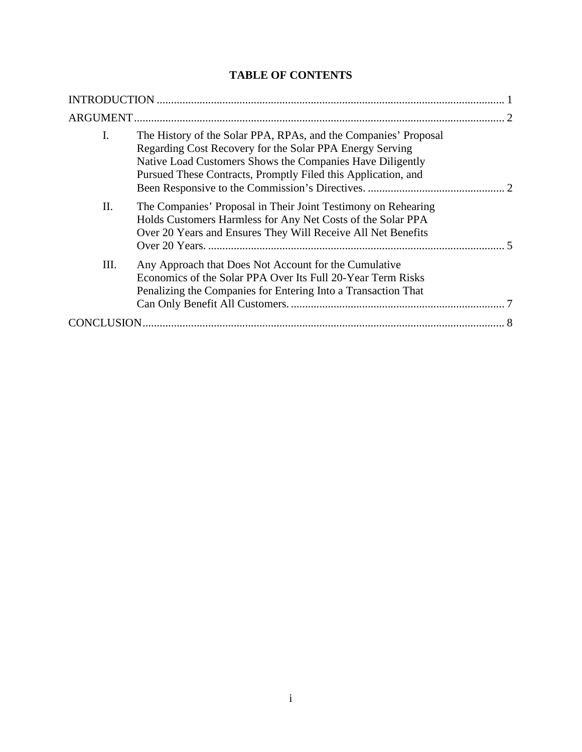# **TABLE OF CONTENTS**

| I.<br>The History of the Solar PPA, RPAs, and the Companies' Proposal<br>Regarding Cost Recovery for the Solar PPA Energy Serving<br>Native Load Customers Shows the Companies Have Diligently<br>Pursued These Contracts, Promptly Filed this Application, and |
|-----------------------------------------------------------------------------------------------------------------------------------------------------------------------------------------------------------------------------------------------------------------|
| Π.<br>The Companies' Proposal in Their Joint Testimony on Rehearing<br>Holds Customers Harmless for Any Net Costs of the Solar PPA<br>Over 20 Years and Ensures They Will Receive All Net Benefits                                                              |
| Ш.<br>Any Approach that Does Not Account for the Cumulative<br>Economics of the Solar PPA Over Its Full 20-Year Term Risks<br>Penalizing the Companies for Entering Into a Transaction That                                                                     |
|                                                                                                                                                                                                                                                                 |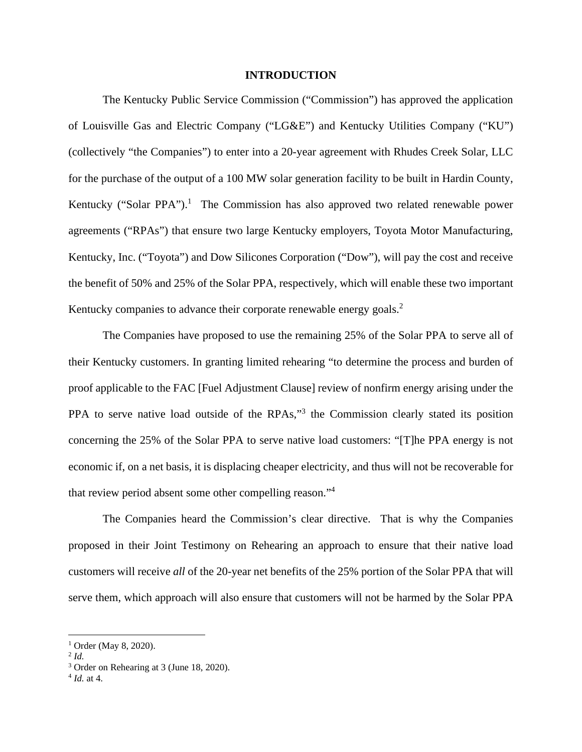#### **INTRODUCTION**

The Kentucky Public Service Commission ("Commission") has approved the application of Louisville Gas and Electric Company ("LG&E") and Kentucky Utilities Company ("KU") (collectively "the Companies") to enter into a 20-year agreement with Rhudes Creek Solar, LLC for the purchase of the output of a 100 MW solar generation facility to be built in Hardin County, Kentucky ("Solar PPA").<sup>1</sup> The Commission has also approved two related renewable power agreements ("RPAs") that ensure two large Kentucky employers, Toyota Motor Manufacturing, Kentucky, Inc. ("Toyota") and Dow Silicones Corporation ("Dow"), will pay the cost and receive the benefit of 50% and 25% of the Solar PPA, respectively, which will enable these two important Kentucky companies to advance their corporate renewable energy goals.<sup>2</sup>

The Companies have proposed to use the remaining 25% of the Solar PPA to serve all of their Kentucky customers. In granting limited rehearing "to determine the process and burden of proof applicable to the FAC [Fuel Adjustment Clause] review of nonfirm energy arising under the PPA to serve native load outside of the RPAs,"<sup>3</sup> the Commission clearly stated its position concerning the 25% of the Solar PPA to serve native load customers: "[T]he PPA energy is not economic if, on a net basis, it is displacing cheaper electricity, and thus will not be recoverable for that review period absent some other compelling reason."<sup>4</sup>

The Companies heard the Commission's clear directive. That is why the Companies proposed in their Joint Testimony on Rehearing an approach to ensure that their native load customers will receive *all* of the 20-year net benefits of the 25% portion of the Solar PPA that will serve them, which approach will also ensure that customers will not be harmed by the Solar PPA

<sup>&</sup>lt;sup>1</sup> Order (May 8, 2020).

<sup>2</sup> *Id.* 

<sup>&</sup>lt;sup>3</sup> Order on Rehearing at 3 (June 18, 2020).

<sup>4</sup> *Id.* at 4.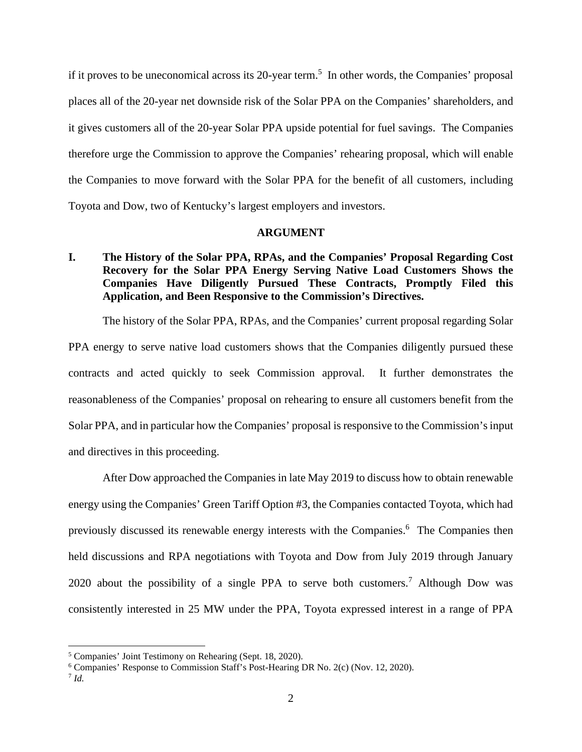if it proves to be uneconomical across its 20-year term.<sup>5</sup> In other words, the Companies' proposal places all of the 20-year net downside risk of the Solar PPA on the Companies' shareholders, and it gives customers all of the 20-year Solar PPA upside potential for fuel savings. The Companies therefore urge the Commission to approve the Companies' rehearing proposal, which will enable the Companies to move forward with the Solar PPA for the benefit of all customers, including Toyota and Dow, two of Kentucky's largest employers and investors.

#### **ARGUMENT**

## **I. The History of the Solar PPA, RPAs, and the Companies' Proposal Regarding Cost Recovery for the Solar PPA Energy Serving Native Load Customers Shows the Companies Have Diligently Pursued These Contracts, Promptly Filed this Application, and Been Responsive to the Commission's Directives.**

The history of the Solar PPA, RPAs, and the Companies' current proposal regarding Solar PPA energy to serve native load customers shows that the Companies diligently pursued these contracts and acted quickly to seek Commission approval. It further demonstrates the reasonableness of the Companies' proposal on rehearing to ensure all customers benefit from the Solar PPA, and in particular how the Companies' proposal is responsive to the Commission's input and directives in this proceeding.

After Dow approached the Companies in late May 2019 to discuss how to obtain renewable energy using the Companies' Green Tariff Option #3, the Companies contacted Toyota, which had previously discussed its renewable energy interests with the Companies.<sup>6</sup> The Companies then held discussions and RPA negotiations with Toyota and Dow from July 2019 through January 2020 about the possibility of a single PPA to serve both customers.<sup>7</sup> Although Dow was consistently interested in 25 MW under the PPA, Toyota expressed interest in a range of PPA

<sup>5</sup> Companies' Joint Testimony on Rehearing (Sept. 18, 2020).

<sup>&</sup>lt;sup>6</sup> Companies' Response to Commission Staff's Post-Hearing DR No. 2(c) (Nov. 12, 2020).

<sup>7</sup> *Id.*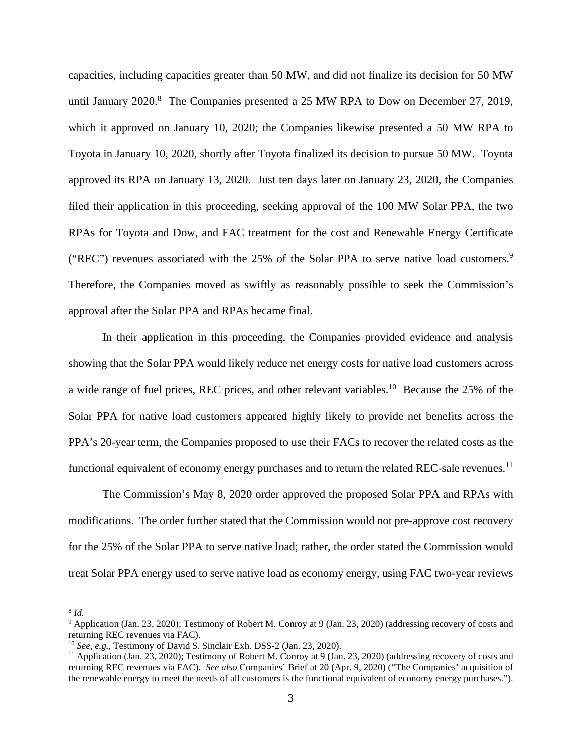capacities, including capacities greater than 50 MW, and did not finalize its decision for 50 MW until January  $2020$ .<sup>8</sup> The Companies presented a 25 MW RPA to Dow on December 27, 2019, which it approved on January 10, 2020; the Companies likewise presented a 50 MW RPA to Toyota in January 10, 2020, shortly after Toyota finalized its decision to pursue 50 MW. Toyota approved its RPA on January 13, 2020. Just ten days later on January 23, 2020, the Companies filed their application in this proceeding, seeking approval of the 100 MW Solar PPA, the two RPAs for Toyota and Dow, and FAC treatment for the cost and Renewable Energy Certificate ("REC") revenues associated with the 25% of the Solar PPA to serve native load customers.<sup>9</sup> Therefore, the Companies moved as swiftly as reasonably possible to seek the Commission's approval after the Solar PPA and RPAs became final.

In their application in this proceeding, the Companies provided evidence and analysis showing that the Solar PPA would likely reduce net energy costs for native load customers across a wide range of fuel prices, REC prices, and other relevant variables.<sup>10</sup> Because the 25% of the Solar PPA for native load customers appeared highly likely to provide net benefits across the PPA's 20-year term, the Companies proposed to use their FACs to recover the related costs as the functional equivalent of economy energy purchases and to return the related REC-sale revenues.<sup>11</sup>

The Commission's May 8, 2020 order approved the proposed Solar PPA and RPAs with modifications. The order further stated that the Commission would not pre-approve cost recovery for the 25% of the Solar PPA to serve native load; rather, the order stated the Commission would treat Solar PPA energy used to serve native load as economy energy, using FAC two-year reviews

8 *Id.* 

<sup>&</sup>lt;sup>9</sup> Application (Jan. 23, 2020); Testimony of Robert M. Conroy at 9 (Jan. 23, 2020) (addressing recovery of costs and returning REC revenues via FAC).

<sup>10</sup> *See, e.g.,* Testimony of David S. Sinclair Exh. DSS-2 (Jan. 23, 2020).

<sup>11</sup> Application (Jan. 23, 2020); Testimony of Robert M. Conroy at 9 (Jan. 23, 2020) (addressing recovery of costs and returning REC revenues via FAC). *See also* Companies' Brief at 20 (Apr. 9, 2020) ("The Companies' acquisition of the renewable energy to meet the needs of all customers is the functional equivalent of economy energy purchases.").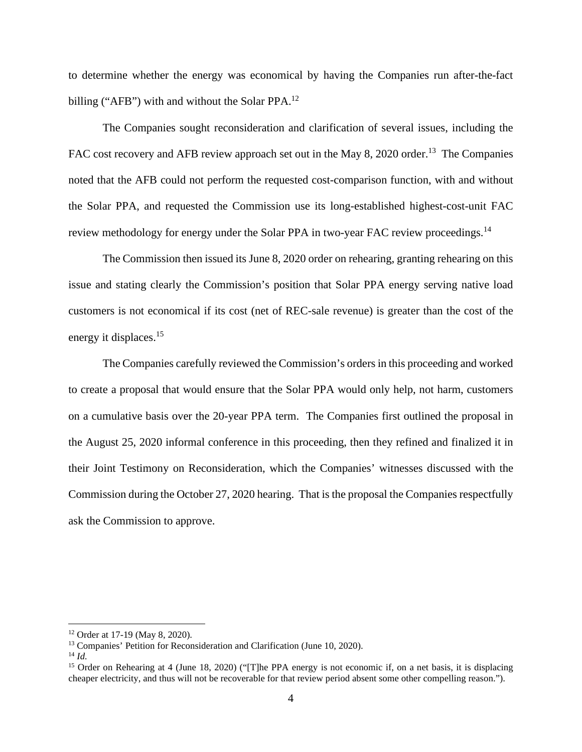to determine whether the energy was economical by having the Companies run after-the-fact billing ("AFB") with and without the Solar PPA.<sup>12</sup>

The Companies sought reconsideration and clarification of several issues, including the FAC cost recovery and AFB review approach set out in the May 8, 2020 order.<sup>13</sup> The Companies noted that the AFB could not perform the requested cost-comparison function, with and without the Solar PPA, and requested the Commission use its long-established highest-cost-unit FAC review methodology for energy under the Solar PPA in two-year FAC review proceedings.<sup>14</sup>

The Commission then issued its June 8, 2020 order on rehearing, granting rehearing on this issue and stating clearly the Commission's position that Solar PPA energy serving native load customers is not economical if its cost (net of REC-sale revenue) is greater than the cost of the energy it displaces.<sup>15</sup>

The Companies carefully reviewed the Commission's orders in this proceeding and worked to create a proposal that would ensure that the Solar PPA would only help, not harm, customers on a cumulative basis over the 20-year PPA term. The Companies first outlined the proposal in the August 25, 2020 informal conference in this proceeding, then they refined and finalized it in their Joint Testimony on Reconsideration, which the Companies' witnesses discussed with the Commission during the October 27, 2020 hearing. That is the proposal the Companies respectfully ask the Commission to approve.

<sup>12</sup> Order at 17-19 (May 8, 2020).

<sup>&</sup>lt;sup>13</sup> Companies' Petition for Reconsideration and Clarification (June 10, 2020).

 $^{14}$  *Id.* 

<sup>&</sup>lt;sup>15</sup> Order on Rehearing at 4 (June 18, 2020) ("[T]he PPA energy is not economic if, on a net basis, it is displacing cheaper electricity, and thus will not be recoverable for that review period absent some other compelling reason.").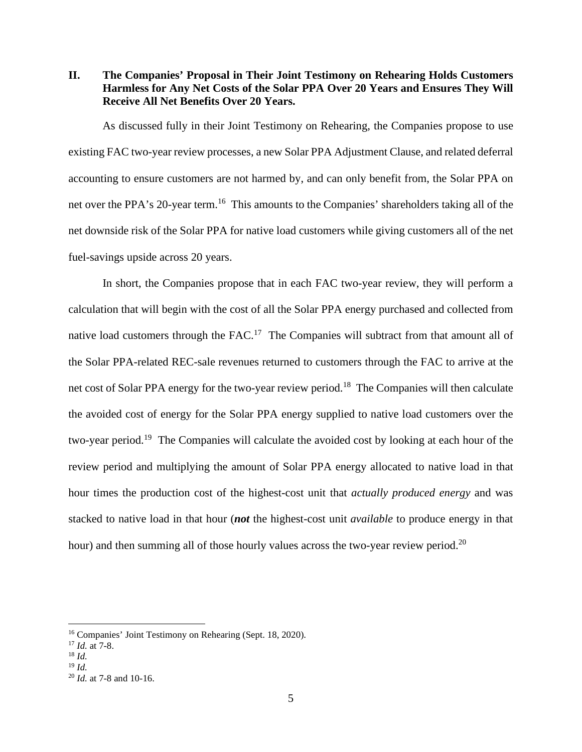**II. The Companies' Proposal in Their Joint Testimony on Rehearing Holds Customers Harmless for Any Net Costs of the Solar PPA Over 20 Years and Ensures They Will Receive All Net Benefits Over 20 Years.** 

As discussed fully in their Joint Testimony on Rehearing, the Companies propose to use existing FAC two-year review processes, a new Solar PPA Adjustment Clause, and related deferral accounting to ensure customers are not harmed by, and can only benefit from, the Solar PPA on net over the PPA's 20-year term.<sup>16</sup> This amounts to the Companies' shareholders taking all of the net downside risk of the Solar PPA for native load customers while giving customers all of the net fuel-savings upside across 20 years.

In short, the Companies propose that in each FAC two-year review, they will perform a calculation that will begin with the cost of all the Solar PPA energy purchased and collected from native load customers through the FAC.<sup>17</sup> The Companies will subtract from that amount all of the Solar PPA-related REC-sale revenues returned to customers through the FAC to arrive at the net cost of Solar PPA energy for the two-year review period.<sup>18</sup> The Companies will then calculate the avoided cost of energy for the Solar PPA energy supplied to native load customers over the two-year period.<sup>19</sup> The Companies will calculate the avoided cost by looking at each hour of the review period and multiplying the amount of Solar PPA energy allocated to native load in that hour times the production cost of the highest-cost unit that *actually produced energy* and was stacked to native load in that hour (*not* the highest-cost unit *available* to produce energy in that hour) and then summing all of those hourly values across the two-year review period.<sup>20</sup>

<sup>16</sup> Companies' Joint Testimony on Rehearing (Sept. 18, 2020).

<sup>17</sup> *Id.* at 7-8.

 $18 \, M$ 

<sup>19</sup> *Id.*

<sup>20</sup> *Id.* at 7-8 and 10-16.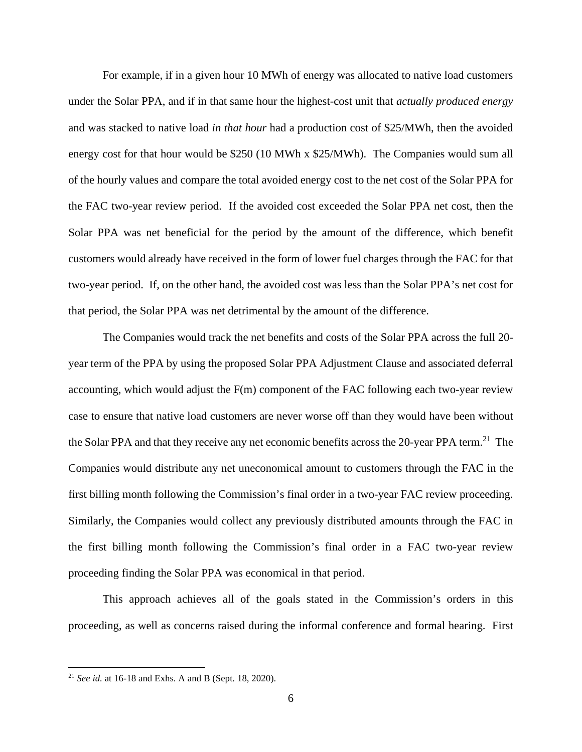For example, if in a given hour 10 MWh of energy was allocated to native load customers under the Solar PPA, and if in that same hour the highest-cost unit that *actually produced energy* and was stacked to native load *in that hour* had a production cost of \$25/MWh, then the avoided energy cost for that hour would be \$250 (10 MWh x \$25/MWh). The Companies would sum all of the hourly values and compare the total avoided energy cost to the net cost of the Solar PPA for the FAC two-year review period. If the avoided cost exceeded the Solar PPA net cost, then the Solar PPA was net beneficial for the period by the amount of the difference, which benefit customers would already have received in the form of lower fuel charges through the FAC for that two-year period. If, on the other hand, the avoided cost was less than the Solar PPA's net cost for that period, the Solar PPA was net detrimental by the amount of the difference.

The Companies would track the net benefits and costs of the Solar PPA across the full 20 year term of the PPA by using the proposed Solar PPA Adjustment Clause and associated deferral accounting, which would adjust the F(m) component of the FAC following each two-year review case to ensure that native load customers are never worse off than they would have been without the Solar PPA and that they receive any net economic benefits across the 20-year PPA term.<sup>21</sup> The Companies would distribute any net uneconomical amount to customers through the FAC in the first billing month following the Commission's final order in a two-year FAC review proceeding. Similarly, the Companies would collect any previously distributed amounts through the FAC in the first billing month following the Commission's final order in a FAC two-year review proceeding finding the Solar PPA was economical in that period.

This approach achieves all of the goals stated in the Commission's orders in this proceeding, as well as concerns raised during the informal conference and formal hearing. First

<sup>21</sup> *See id.* at 16-18 and Exhs. A and B (Sept. 18, 2020).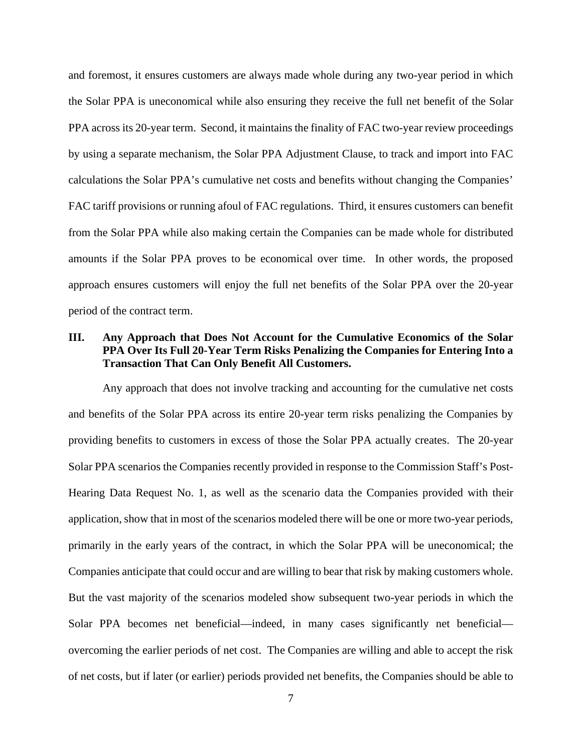and foremost, it ensures customers are always made whole during any two-year period in which the Solar PPA is uneconomical while also ensuring they receive the full net benefit of the Solar PPA across its 20-year term. Second, it maintains the finality of FAC two-year review proceedings by using a separate mechanism, the Solar PPA Adjustment Clause, to track and import into FAC calculations the Solar PPA's cumulative net costs and benefits without changing the Companies' FAC tariff provisions or running afoul of FAC regulations. Third, it ensures customers can benefit from the Solar PPA while also making certain the Companies can be made whole for distributed amounts if the Solar PPA proves to be economical over time. In other words, the proposed approach ensures customers will enjoy the full net benefits of the Solar PPA over the 20-year period of the contract term.

## **III. Any Approach that Does Not Account for the Cumulative Economics of the Solar PPA Over Its Full 20-Year Term Risks Penalizing the Companies for Entering Into a Transaction That Can Only Benefit All Customers.**

Any approach that does not involve tracking and accounting for the cumulative net costs and benefits of the Solar PPA across its entire 20-year term risks penalizing the Companies by providing benefits to customers in excess of those the Solar PPA actually creates. The 20-year Solar PPA scenarios the Companies recently provided in response to the Commission Staff's Post-Hearing Data Request No. 1, as well as the scenario data the Companies provided with their application, show that in most of the scenarios modeled there will be one or more two-year periods, primarily in the early years of the contract, in which the Solar PPA will be uneconomical; the Companies anticipate that could occur and are willing to bear that risk by making customers whole. But the vast majority of the scenarios modeled show subsequent two-year periods in which the Solar PPA becomes net beneficial—indeed, in many cases significantly net beneficial overcoming the earlier periods of net cost. The Companies are willing and able to accept the risk of net costs, but if later (or earlier) periods provided net benefits, the Companies should be able to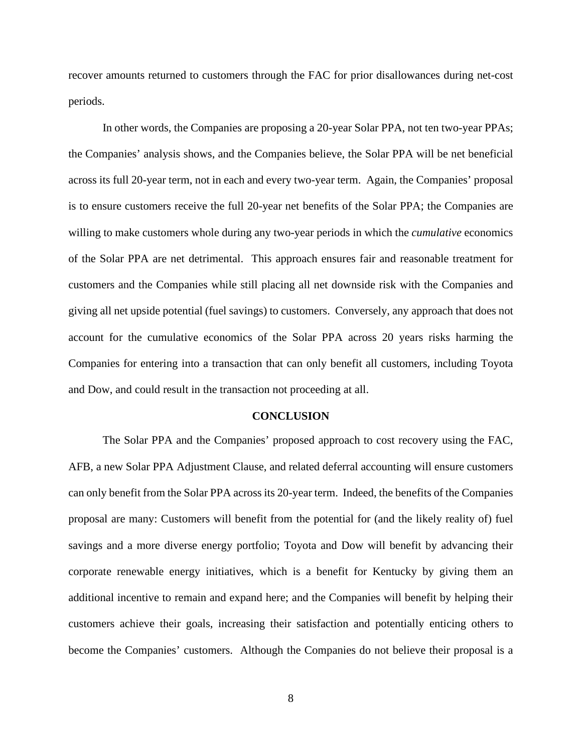recover amounts returned to customers through the FAC for prior disallowances during net-cost periods.

In other words, the Companies are proposing a 20-year Solar PPA, not ten two-year PPAs; the Companies' analysis shows, and the Companies believe, the Solar PPA will be net beneficial across its full 20-year term, not in each and every two-year term. Again, the Companies' proposal is to ensure customers receive the full 20-year net benefits of the Solar PPA; the Companies are willing to make customers whole during any two-year periods in which the *cumulative* economics of the Solar PPA are net detrimental. This approach ensures fair and reasonable treatment for customers and the Companies while still placing all net downside risk with the Companies and giving all net upside potential (fuel savings) to customers. Conversely, any approach that does not account for the cumulative economics of the Solar PPA across 20 years risks harming the Companies for entering into a transaction that can only benefit all customers, including Toyota and Dow, and could result in the transaction not proceeding at all.

#### **CONCLUSION**

The Solar PPA and the Companies' proposed approach to cost recovery using the FAC, AFB, a new Solar PPA Adjustment Clause, and related deferral accounting will ensure customers can only benefit from the Solar PPA across its 20-year term. Indeed, the benefits of the Companies proposal are many: Customers will benefit from the potential for (and the likely reality of) fuel savings and a more diverse energy portfolio; Toyota and Dow will benefit by advancing their corporate renewable energy initiatives, which is a benefit for Kentucky by giving them an additional incentive to remain and expand here; and the Companies will benefit by helping their customers achieve their goals, increasing their satisfaction and potentially enticing others to become the Companies' customers. Although the Companies do not believe their proposal is a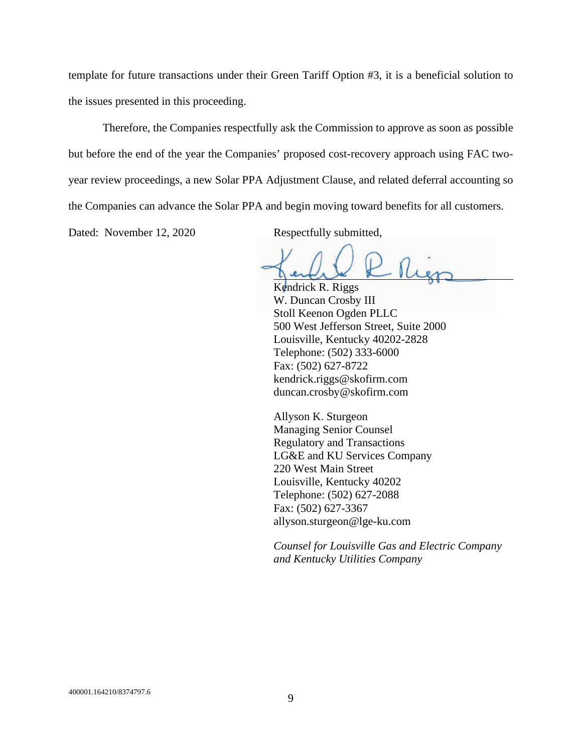template for future transactions under their Green Tariff Option #3, it is a beneficial solution to the issues presented in this proceeding.

Therefore, the Companies respectfully ask the Commission to approve as soon as possible but before the end of the year the Companies' proposed cost-recovery approach using FAC twoyear review proceedings, a new Solar PPA Adjustment Clause, and related deferral accounting so the Companies can advance the Solar PPA and begin moving toward benefits for all customers.

Dated: November 12, 2020 Respectfully submitted,

Rier

Kendrick R. Riggs W. Duncan Crosby III Stoll Keenon Ogden PLLC 500 West Jefferson Street, Suite 2000 Louisville, Kentucky 40202-2828 Telephone: (502) 333-6000 Fax: (502) 627-8722 kendrick.riggs@skofirm.com duncan.crosby@skofirm.com

Allyson K. Sturgeon Managing Senior Counsel Regulatory and Transactions LG&E and KU Services Company 220 West Main Street Louisville, Kentucky 40202 Telephone: (502) 627-2088 Fax: (502) 627-3367 allyson.sturgeon@lge-ku.com

*Counsel for Louisville Gas and Electric Company and Kentucky Utilities Company*